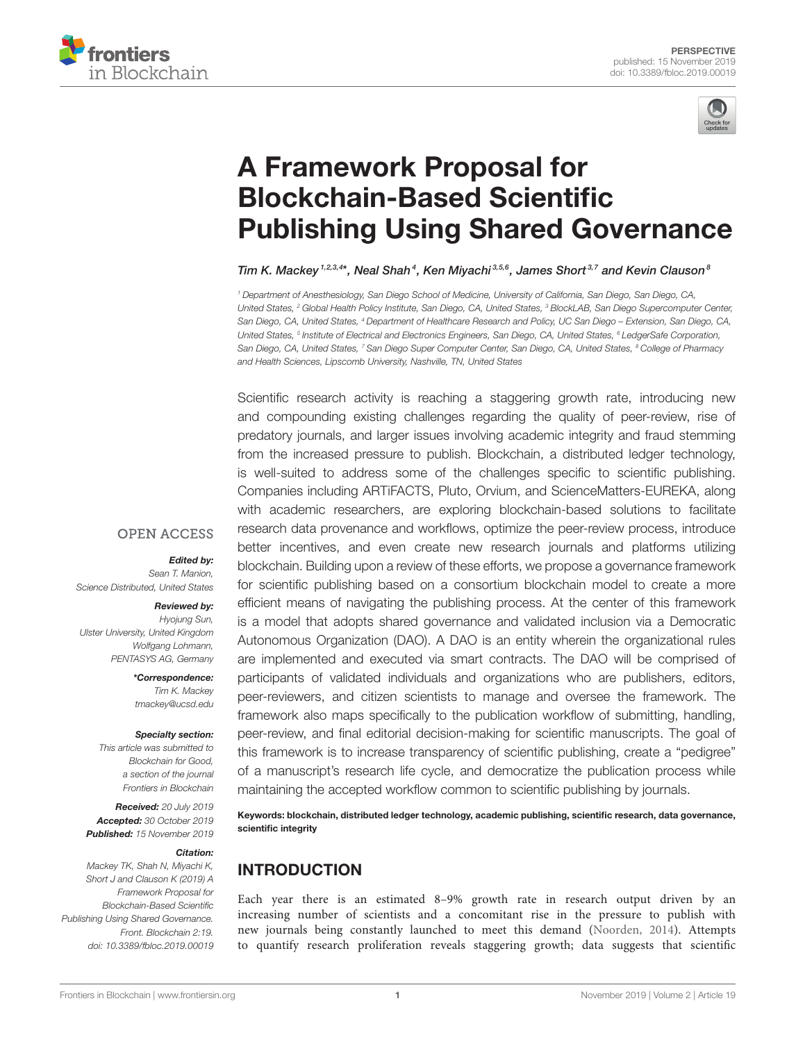



# A Framework Proposal for Blockchain-Based Scientific [Publishing Using Shared Governance](https://www.frontiersin.org/articles/10.3389/fbloc.2019.00019/full)

[Tim K. Mackey](http://loop.frontiersin.org/people/213722/overview) 1,2,3,4\*, Neal Shah<sup>4</sup>, [Ken Miyachi](http://loop.frontiersin.org/people/777212/overview)<sup>3,5,6</sup>, James Short<sup>3,7</sup> and [Kevin Clauson](http://loop.frontiersin.org/people/763330/overview)<sup>8</sup>

*<sup>1</sup> Department of Anesthesiology, San Diego School of Medicine, University of California, San Diego, San Diego, CA, United States, <sup>2</sup> Global Health Policy Institute, San Diego, CA, United States, <sup>3</sup> BlockLAB, San Diego Supercomputer Center, San Diego, CA, United States, <sup>4</sup> Department of Healthcare Research and Policy, UC San Diego – Extension, San Diego, CA, United States, <sup>5</sup> Institute of Electrical and Electronics Engineers, San Diego, CA, United States, <sup>6</sup> LedgerSafe Corporation, San Diego, CA, United States, <sup>7</sup> San Diego Super Computer Center, San Diego, CA, United States, <sup>8</sup> College of Pharmacy and Health Sciences, Lipscomb University, Nashville, TN, United States*

Scientific research activity is reaching a staggering growth rate, introducing new and compounding existing challenges regarding the quality of peer-review, rise of predatory journals, and larger issues involving academic integrity and fraud stemming from the increased pressure to publish. Blockchain, a distributed ledger technology, is well-suited to address some of the challenges specific to scientific publishing. Companies including ARTiFACTS, Pluto, Orvium, and ScienceMatters-EUREKA, along with academic researchers, are exploring blockchain-based solutions to facilitate research data provenance and workflows, optimize the peer-review process, introduce better incentives, and even create new research journals and platforms utilizing blockchain. Building upon a review of these efforts, we propose a governance framework for scientific publishing based on a consortium blockchain model to create a more efficient means of navigating the publishing process. At the center of this framework is a model that adopts shared governance and validated inclusion via a Democratic Autonomous Organization (DAO). A DAO is an entity wherein the organizational rules are implemented and executed via smart contracts. The DAO will be comprised of participants of validated individuals and organizations who are publishers, editors, peer-reviewers, and citizen scientists to manage and oversee the framework. The framework also maps specifically to the publication workflow of submitting, handling, peer-review, and final editorial decision-making for scientific manuscripts. The goal of this framework is to increase transparency of scientific publishing, create a "pedigree" of a manuscript's research life cycle, and democratize the publication process while maintaining the accepted workflow common to scientific publishing by journals.

Keywords: blockchain, distributed ledger technology, academic publishing, scientific research, data governance, scientific integrity

# INTRODUCTION

Each year there is an estimated 8–9% growth rate in research output driven by an increasing number of scientists and a concomitant rise in the pressure to publish with new journals being constantly launched to meet this demand [\(Noorden, 2014\)](#page-10-0). Attempts to quantify research proliferation reveals staggering growth; data suggests that scientific

## **OPEN ACCESS**

#### Edited by: *Sean T. Manion,*

*Science Distributed, United States*

#### Reviewed by:

*Hyojung Sun, Ulster University, United Kingdom Wolfgang Lohmann, PENTASYS AG, Germany*

> \*Correspondence: *Tim K. Mackey [tmackey@ucsd.edu](mailto:tmackey@ucsd.edu)*

#### Specialty section:

*This article was submitted to Blockchain for Good, a section of the journal Frontiers in Blockchain*

Received: *20 July 2019* Accepted: *30 October 2019* Published: *15 November 2019*

#### Citation:

*Mackey TK, Shah N, Miyachi K, Short J and Clauson K (2019) A Framework Proposal for Blockchain-Based Scientific Publishing Using Shared Governance. Front. Blockchain 2:19. doi: [10.3389/fbloc.2019.00019](https://doi.org/10.3389/fbloc.2019.00019)*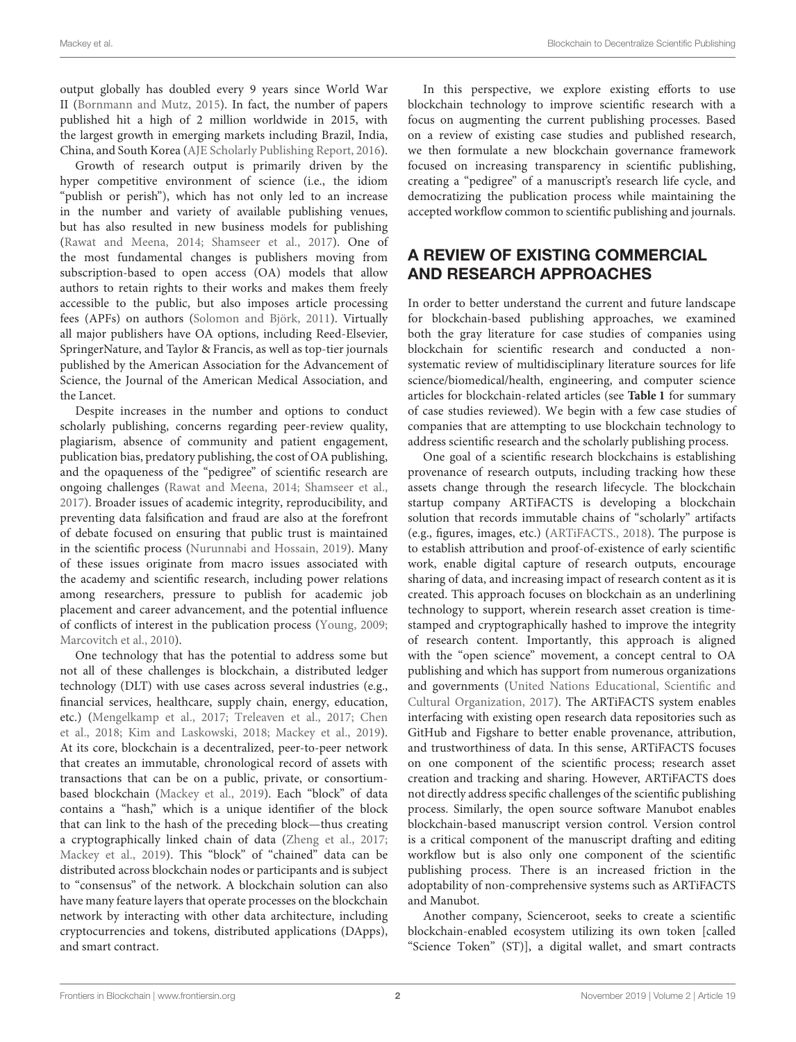output globally has doubled every 9 years since World War II [\(Bornmann and Mutz, 2015\)](#page-10-1). In fact, the number of papers published hit a high of 2 million worldwide in 2015, with the largest growth in emerging markets including Brazil, India, China, and South Korea [\(AJE Scholarly Publishing Report, 2016\)](#page-10-2).

Growth of research output is primarily driven by the hyper competitive environment of science (i.e., the idiom "publish or perish"), which has not only led to an increase in the number and variety of available publishing venues, but has also resulted in new business models for publishing [\(Rawat and Meena, 2014;](#page-10-3) [Shamseer et al., 2017\)](#page-10-4). One of the most fundamental changes is publishers moving from subscription-based to open access (OA) models that allow authors to retain rights to their works and makes them freely accessible to the public, but also imposes article processing fees (APFs) on authors [\(Solomon and Björk, 2011\)](#page-10-5). Virtually all major publishers have OA options, including Reed-Elsevier, SpringerNature, and Taylor & Francis, as well as top-tier journals published by the American Association for the Advancement of Science, the Journal of the American Medical Association, and the Lancet.

Despite increases in the number and options to conduct scholarly publishing, concerns regarding peer-review quality, plagiarism, absence of community and patient engagement, publication bias, predatory publishing, the cost of OA publishing, and the opaqueness of the "pedigree" of scientific research are ongoing challenges [\(Rawat and Meena, 2014;](#page-10-3) [Shamseer et al.,](#page-10-4) [2017\)](#page-10-4). Broader issues of academic integrity, reproducibility, and preventing data falsification and fraud are also at the forefront of debate focused on ensuring that public trust is maintained in the scientific process [\(Nurunnabi and Hossain, 2019\)](#page-10-6). Many of these issues originate from macro issues associated with the academy and scientific research, including power relations among researchers, pressure to publish for academic job placement and career advancement, and the potential influence of conflicts of interest in the publication process [\(Young, 2009;](#page-11-0) [Marcovitch et al., 2010\)](#page-10-7).

One technology that has the potential to address some but not all of these challenges is blockchain, a distributed ledger technology (DLT) with use cases across several industries (e.g., financial services, healthcare, supply chain, energy, education, etc.) [\(Mengelkamp et al., 2017;](#page-10-8) [Treleaven et al., 2017;](#page-10-9) Chen et al., [2018;](#page-10-10) [Kim and Laskowski, 2018;](#page-10-11) [Mackey et al., 2019\)](#page-10-12). At its core, blockchain is a decentralized, peer-to-peer network that creates an immutable, chronological record of assets with transactions that can be on a public, private, or consortiumbased blockchain [\(Mackey et al., 2019\)](#page-10-12). Each "block" of data contains a "hash," which is a unique identifier of the block that can link to the hash of the preceding block—thus creating a cryptographically linked chain of data [\(Zheng et al., 2017;](#page-11-1) [Mackey et al., 2019\)](#page-10-12). This "block" of "chained" data can be distributed across blockchain nodes or participants and is subject to "consensus" of the network. A blockchain solution can also have many feature layers that operate processes on the blockchain network by interacting with other data architecture, including cryptocurrencies and tokens, distributed applications (DApps), and smart contract.

In this perspective, we explore existing efforts to use blockchain technology to improve scientific research with a focus on augmenting the current publishing processes. Based on a review of existing case studies and published research, we then formulate a new blockchain governance framework focused on increasing transparency in scientific publishing, creating a "pedigree" of a manuscript's research life cycle, and democratizing the publication process while maintaining the accepted workflow common to scientific publishing and journals.

# A REVIEW OF EXISTING COMMERCIAL AND RESEARCH APPROACHES

In order to better understand the current and future landscape for blockchain-based publishing approaches, we examined both the gray literature for case studies of companies using blockchain for scientific research and conducted a nonsystematic review of multidisciplinary literature sources for life science/biomedical/health, engineering, and computer science articles for blockchain-related articles (see **[Table 1](#page-2-0)** for summary of case studies reviewed). We begin with a few case studies of companies that are attempting to use blockchain technology to address scientific research and the scholarly publishing process.

One goal of a scientific research blockchains is establishing provenance of research outputs, including tracking how these assets change through the research lifecycle. The blockchain startup company ARTiFACTS is developing a blockchain solution that records immutable chains of "scholarly" artifacts (e.g., figures, images, etc.) [\(ARTiFACTS., 2018\)](#page-10-13). The purpose is to establish attribution and proof-of-existence of early scientific work, enable digital capture of research outputs, encourage sharing of data, and increasing impact of research content as it is created. This approach focuses on blockchain as an underlining technology to support, wherein research asset creation is timestamped and cryptographically hashed to improve the integrity of research content. Importantly, this approach is aligned with the "open science" movement, a concept central to OA publishing and which has support from numerous organizations and governments (United Nations Educational, Scientific and Cultural Organization, [2017\)](#page-11-2). The ARTiFACTS system enables interfacing with existing open research data repositories such as GitHub and Figshare to better enable provenance, attribution, and trustworthiness of data. In this sense, ARTiFACTS focuses on one component of the scientific process; research asset creation and tracking and sharing. However, ARTiFACTS does not directly address specific challenges of the scientific publishing process. Similarly, the open source software Manubot enables blockchain-based manuscript version control. Version control is a critical component of the manuscript drafting and editing workflow but is also only one component of the scientific publishing process. There is an increased friction in the adoptability of non-comprehensive systems such as ARTiFACTS and Manubot.

Another company, Scienceroot, seeks to create a scientific blockchain-enabled ecosystem utilizing its own token [called "Science Token" (ST)], a digital wallet, and smart contracts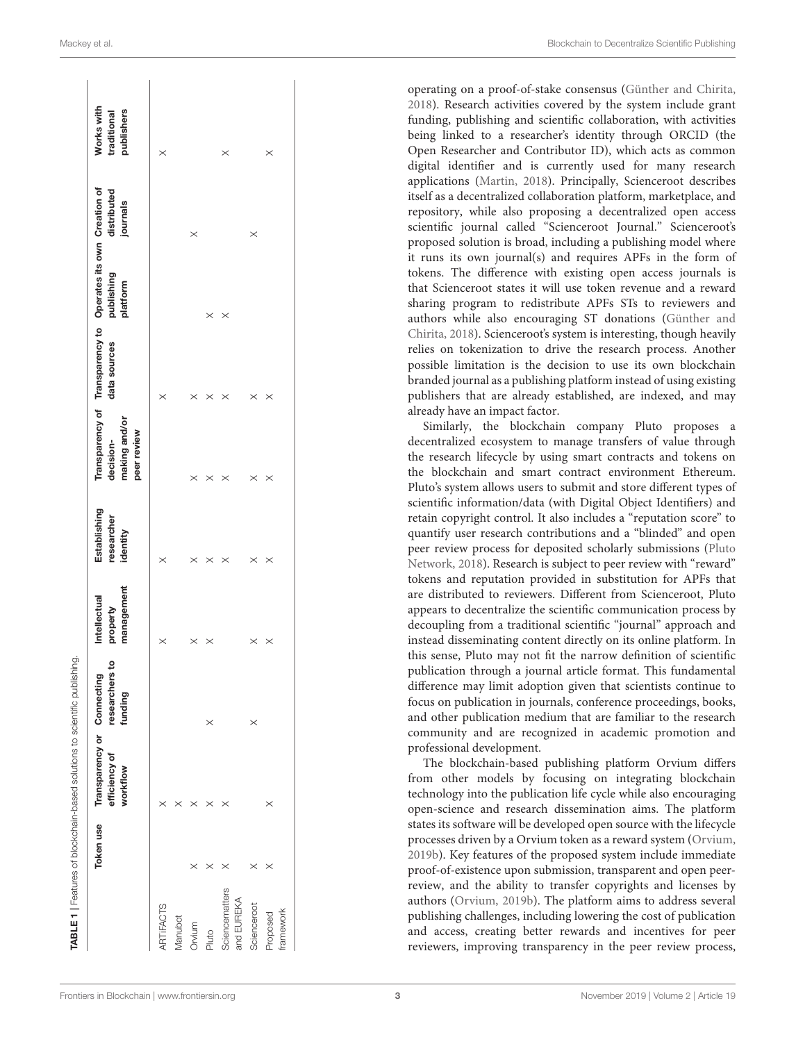|  | Mackev et al. |  |  |  |  |  |  |  |  |  |  | Blockchain to Decentralize Scientific Publishing |  |  |  |
|--|---------------|--|--|--|--|--|--|--|--|--|--|--------------------------------------------------|--|--|--|
|--|---------------|--|--|--|--|--|--|--|--|--|--|--------------------------------------------------|--|--|--|

|                              | Token use | Transparency or Connecting<br>efficiency of<br>workflow | °,<br>researchers<br>funding | management<br>Intellectual<br>property | Establishing<br>researcher<br>identity | making and/or<br>peer review<br>decision- | Transparency of Transparency to<br>data sources | Operates its own Creation of<br>publishing<br>platform | distributed<br>journals | Works with<br>publishers<br>traditional |
|------------------------------|-----------|---------------------------------------------------------|------------------------------|----------------------------------------|----------------------------------------|-------------------------------------------|-------------------------------------------------|--------------------------------------------------------|-------------------------|-----------------------------------------|
| <b>ARTIFACTS</b>             |           | $\times$                                                |                              | $\times$                               | $\times$                               |                                           | $\times$                                        |                                                        |                         | $\times$                                |
| Manubot                      |           | $\times$                                                |                              |                                        |                                        |                                           |                                                 |                                                        |                         |                                         |
| Orvium                       | $\times$  | $\times$                                                |                              | $\times$                               | $\times$                               | $\times$                                  | $\times$                                        |                                                        | $\times$                |                                         |
| Pluto                        | $\times$  | $\times$                                                | $\times$                     | $\times$                               | $\times$                               | $\times$                                  | $\times$                                        | $\times$                                               |                         |                                         |
| Sciencematters<br>and EUREKA | $\times$  | $\times$                                                |                              |                                        | $\times$                               | $\times$                                  | $\times$                                        | $\times$                                               |                         | $\times$                                |
| Scienceroot                  | $\times$  |                                                         | $\times$                     | $\times$                               | $\times$                               | $\times$                                  | $\times$                                        |                                                        | $\times$                |                                         |
| framework<br>Proposed        | $\times$  | $\times$                                                |                              | $\times$                               | $\times$                               | $\times$                                  | $\times$                                        |                                                        |                         | $\times$                                |

operating on a proof-of-stake consensus [\(Günther and Chirita,](#page-10-14) [2018\)](#page-10-14). Research activities covered by the system include grant funding, publishing and scientific collaboration, with activities being linked to a researcher's identity through ORCID (the Open Researcher and Contributor ID), which acts as common digital identifier and is currently used for many research applications [\(Martin, 2018\)](#page-10-15). Principally, Scienceroot describes itself as a decentralized collaboration platform, marketplace, and repository, while also proposing a decentralized open access scientific journal called "Scienceroot Journal." Scienceroot's proposed solution is broad, including a publishing model where it runs its own journal(s) and requires APFs in the form of tokens. The difference with existing open access journals is that Scienceroot states it will use token revenue and a reward sharing program to redistribute APFs STs to reviewers and authors while also encouraging ST donations (Günther and Chirita, [2018\)](#page-10-14). Scienceroot's system is interesting, though heavily relies on tokenization to drive the research process. Anothe r possible limitation is the decision to use its own blockchain branded journal as a publishing platform instead of using existing publishers that are already established, are indexed, and ma y already have an impact factor.

Similarly, the blockchain company Pluto proposes a decentralized ecosystem to manage transfers of value through the research lifecycle by using smart contracts and tokens o n the blockchain and smart contract environment Ethereum. Pluto's system allows users to submit and store different types of scientific information/data (with Digital Object Identifiers) and retain copyright control. It also includes a "reputation score" to quantify user research contributions and a "blinded" and ope n peer review process for deposited scholarly submissions (Pluto Network, [2018\)](#page-10-16). Research is subject to peer review with "reward" tokens and reputation provided in substitution for APFs that are distributed to reviewers. Different from Scienceroot, Pluto appears to decentralize the scientific communication process b y decoupling from a traditional scientific "journal" approach an d instead disseminating content directly on its online platform. In this sense, Pluto may not fit the narrow definition of scientifi c publication through a journal article format. This fundamental difference may limit adoption given that scientists continue to focus on publication in journals, conference proceedings, books, and other publication medium that are familiar to the researc h community and are recognized in academic promotion and professional development.

<span id="page-2-0"></span>The blockchain-based publishing platform Orvium differs from other models by focusing on integrating blockchain technology into the publication life cycle while also encouraging open-science and research dissemination aims. The platform states its software will be developed open source with the lifecycle processes driven by a Orvium token as a reward system [\(Orvium,](#page-10-17) [2019b\)](#page-10-17). Key features of the proposed system include immediate proof-of-existence upon submission, transparent and open peerreview, and the ability to transfer copyrights and licenses by authors [\(Orvium, 2019b\)](#page-10-17). The platform aims to address several publishing challenges, including lowering the cost of publication and access, creating better rewards and incentives for peer reviewers, improving transparency in the peer review process,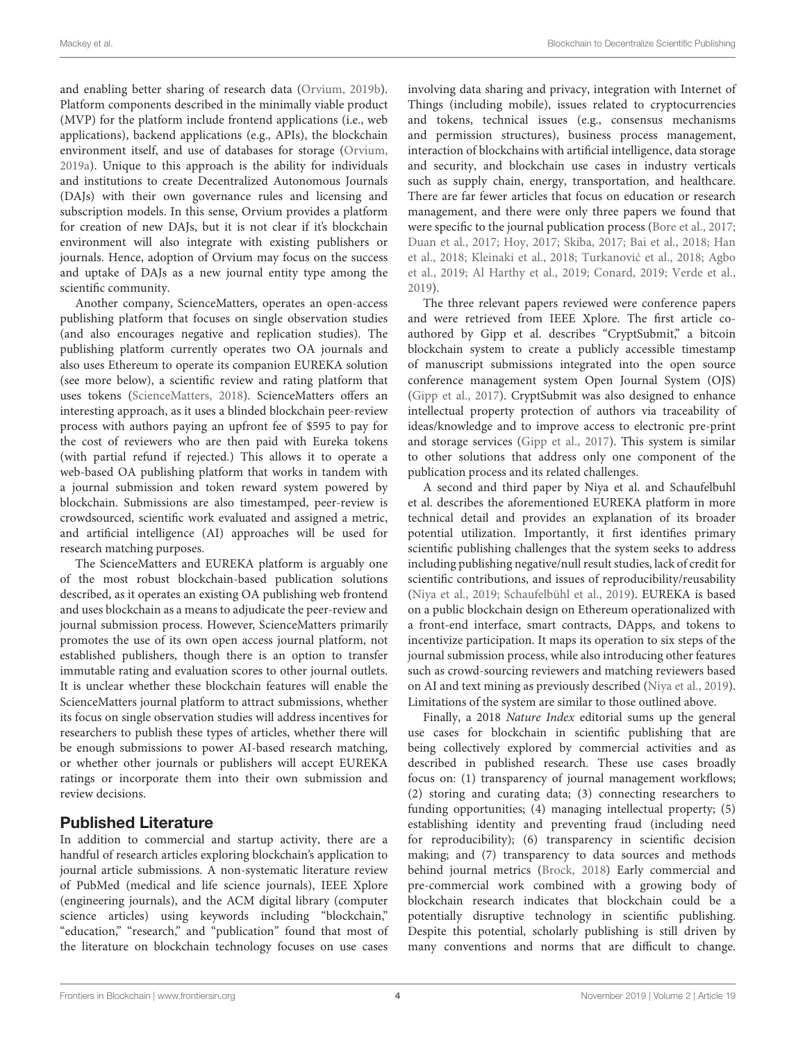and enabling better sharing of research data [\(Orvium, 2019b\)](#page-10-17). Platform components described in the minimally viable product (MVP) for the platform include frontend applications (i.e., web applications), backend applications (e.g., APIs), the blockchain environment itself, and use of databases for storage [\(Orvium,](#page-10-18) [2019a\)](#page-10-18). Unique to this approach is the ability for individuals and institutions to create Decentralized Autonomous Journals (DAJs) with their own governance rules and licensing and subscription models. In this sense, Orvium provides a platform for creation of new DAJs, but it is not clear if it's blockchain environment will also integrate with existing publishers or journals. Hence, adoption of Orvium may focus on the success and uptake of DAJs as a new journal entity type among the scientific community.

Another company, ScienceMatters, operates an open-access publishing platform that focuses on single observation studies (and also encourages negative and replication studies). The publishing platform currently operates two OA journals and also uses Ethereum to operate its companion EUREKA solution (see more below), a scientific review and rating platform that uses tokens [\(ScienceMatters, 2018\)](#page-10-19). ScienceMatters offers an interesting approach, as it uses a blinded blockchain peer-review process with authors paying an upfront fee of \$595 to pay for the cost of reviewers who are then paid with Eureka tokens (with partial refund if rejected.) This allows it to operate a web-based OA publishing platform that works in tandem with a journal submission and token reward system powered by blockchain. Submissions are also timestamped, peer-review is crowdsourced, scientific work evaluated and assigned a metric, and artificial intelligence (AI) approaches will be used for research matching purposes.

The ScienceMatters and EUREKA platform is arguably one of the most robust blockchain-based publication solutions described, as it operates an existing OA publishing web frontend and uses blockchain as a means to adjudicate the peer-review and journal submission process. However, ScienceMatters primarily promotes the use of its own open access journal platform, not established publishers, though there is an option to transfer immutable rating and evaluation scores to other journal outlets. It is unclear whether these blockchain features will enable the ScienceMatters journal platform to attract submissions, whether its focus on single observation studies will address incentives for researchers to publish these types of articles, whether there will be enough submissions to power AI-based research matching, or whether other journals or publishers will accept EUREKA ratings or incorporate them into their own submission and review decisions.

## Published Literature

In addition to commercial and startup activity, there are a handful of research articles exploring blockchain's application to journal article submissions. A non-systematic literature review of PubMed (medical and life science journals), IEEE Xplore (engineering journals), and the ACM digital library (computer science articles) using keywords including "blockchain," "education," "research," and "publication" found that most of the literature on blockchain technology focuses on use cases involving data sharing and privacy, integration with Internet of Things (including mobile), issues related to cryptocurrencies and tokens, technical issues (e.g., consensus mechanisms and permission structures), business process management, interaction of blockchains with artificial intelligence, data storage and security, and blockchain use cases in industry verticals such as supply chain, energy, transportation, and healthcare. There are far fewer articles that focus on education or research management, and there were only three papers we found that were specific to the journal publication process [\(Bore et al., 2017;](#page-10-20) [Duan et al., 2017;](#page-10-21) [Hoy, 2017;](#page-10-22) [Skiba, 2017;](#page-10-23) [Bai et al., 2018;](#page-10-24) Han et al., [2018;](#page-10-25) [Kleinaki et al., 2018;](#page-10-26) [Turkanovic et al., 2018;](#page-11-3) Agbo ´ et al., [2019;](#page-10-27) [Al Harthy et al., 2019;](#page-10-28) [Conard, 2019;](#page-10-29) [Verde et al.,](#page-11-4) [2019\)](#page-11-4).

The three relevant papers reviewed were conference papers and were retrieved from IEEE Xplore. The first article coauthored by Gipp et al. describes "CryptSubmit," a bitcoin blockchain system to create a publicly accessible timestamp of manuscript submissions integrated into the open source conference management system Open Journal System (OJS) [\(Gipp et al., 2017\)](#page-10-30). CryptSubmit was also designed to enhance intellectual property protection of authors via traceability of ideas/knowledge and to improve access to electronic pre-print and storage services [\(Gipp et al., 2017\)](#page-10-30). This system is similar to other solutions that address only one component of the publication process and its related challenges.

A second and third paper by Niya et al. and Schaufelbuhl et al. describes the aforementioned EUREKA platform in more technical detail and provides an explanation of its broader potential utilization. Importantly, it first identifies primary scientific publishing challenges that the system seeks to address including publishing negative/null result studies, lack of credit for scientific contributions, and issues of reproducibility/reusability [\(Niya et al., 2019;](#page-10-31) [Schaufelbühl et al., 2019\)](#page-10-32). EUREKA is based on a public blockchain design on Ethereum operationalized with a front-end interface, smart contracts, DApps, and tokens to incentivize participation. It maps its operation to six steps of the journal submission process, while also introducing other features such as crowd-sourcing reviewers and matching reviewers based on AI and text mining as previously described [\(Niya et al., 2019\)](#page-10-31). Limitations of the system are similar to those outlined above.

Finally, a 2018 Nature Index editorial sums up the general use cases for blockchain in scientific publishing that are being collectively explored by commercial activities and as described in published research. These use cases broadly focus on: (1) transparency of journal management workflows; (2) storing and curating data; (3) connecting researchers to funding opportunities; (4) managing intellectual property; (5) establishing identity and preventing fraud (including need for reproducibility); (6) transparency in scientific decision making; and (7) transparency to data sources and methods behind journal metrics [\(Brock, 2018\)](#page-10-33) Early commercial and pre-commercial work combined with a growing body of blockchain research indicates that blockchain could be a potentially disruptive technology in scientific publishing. Despite this potential, scholarly publishing is still driven by many conventions and norms that are difficult to change.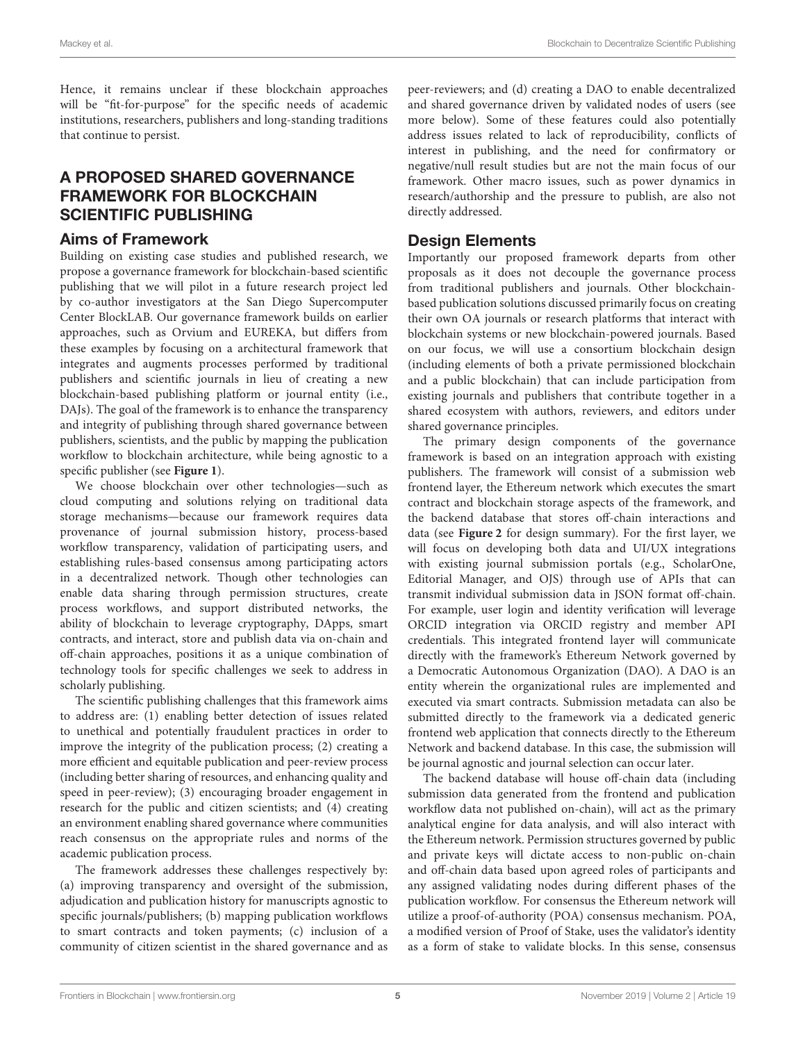Hence, it remains unclear if these blockchain approaches will be "fit-for-purpose" for the specific needs of academic institutions, researchers, publishers and long-standing traditions that continue to persist.

## A PROPOSED SHARED GOVERNANCE FRAMEWORK FOR BLOCKCHAIN SCIENTIFIC PUBLISHING

## Aims of Framework

Building on existing case studies and published research, we propose a governance framework for blockchain-based scientific publishing that we will pilot in a future research project led by co-author investigators at the San Diego Supercomputer Center BlockLAB. Our governance framework builds on earlier approaches, such as Orvium and EUREKA, but differs from these examples by focusing on a architectural framework that integrates and augments processes performed by traditional publishers and scientific journals in lieu of creating a new blockchain-based publishing platform or journal entity (i.e., DAJs). The goal of the framework is to enhance the transparency and integrity of publishing through shared governance between publishers, scientists, and the public by mapping the publication workflow to blockchain architecture, while being agnostic to a specific publisher (see **[Figure 1](#page-5-0)**).

We choose blockchain over other technologies—such as cloud computing and solutions relying on traditional data storage mechanisms—because our framework requires data provenance of journal submission history, process-based workflow transparency, validation of participating users, and establishing rules-based consensus among participating actors in a decentralized network. Though other technologies can enable data sharing through permission structures, create process workflows, and support distributed networks, the ability of blockchain to leverage cryptography, DApps, smart contracts, and interact, store and publish data via on-chain and off-chain approaches, positions it as a unique combination of technology tools for specific challenges we seek to address in scholarly publishing.

The scientific publishing challenges that this framework aims to address are: (1) enabling better detection of issues related to unethical and potentially fraudulent practices in order to improve the integrity of the publication process; (2) creating a more efficient and equitable publication and peer-review process (including better sharing of resources, and enhancing quality and speed in peer-review); (3) encouraging broader engagement in research for the public and citizen scientists; and (4) creating an environment enabling shared governance where communities reach consensus on the appropriate rules and norms of the academic publication process.

The framework addresses these challenges respectively by: (a) improving transparency and oversight of the submission, adjudication and publication history for manuscripts agnostic to specific journals/publishers; (b) mapping publication workflows to smart contracts and token payments; (c) inclusion of a community of citizen scientist in the shared governance and as peer-reviewers; and (d) creating a DAO to enable decentralized and shared governance driven by validated nodes of users (see more below). Some of these features could also potentially address issues related to lack of reproducibility, conflicts of interest in publishing, and the need for confirmatory or negative/null result studies but are not the main focus of our framework. Other macro issues, such as power dynamics in research/authorship and the pressure to publish, are also not directly addressed.

## Design Elements

Importantly our proposed framework departs from other proposals as it does not decouple the governance process from traditional publishers and journals. Other blockchainbased publication solutions discussed primarily focus on creating their own OA journals or research platforms that interact with blockchain systems or new blockchain-powered journals. Based on our focus, we will use a consortium blockchain design (including elements of both a private permissioned blockchain and a public blockchain) that can include participation from existing journals and publishers that contribute together in a shared ecosystem with authors, reviewers, and editors under shared governance principles.

The primary design components of the governance framework is based on an integration approach with existing publishers. The framework will consist of a submission web frontend layer, the Ethereum network which executes the smart contract and blockchain storage aspects of the framework, and the backend database that stores off-chain interactions and data (see **[Figure 2](#page-5-1)** for design summary). For the first layer, we will focus on developing both data and UI/UX integrations with existing journal submission portals (e.g., ScholarOne, Editorial Manager, and OJS) through use of APIs that can transmit individual submission data in JSON format off-chain. For example, user login and identity verification will leverage ORCID integration via ORCID registry and member API credentials. This integrated frontend layer will communicate directly with the framework's Ethereum Network governed by a Democratic Autonomous Organization (DAO). A DAO is an entity wherein the organizational rules are implemented and executed via smart contracts. Submission metadata can also be submitted directly to the framework via a dedicated generic frontend web application that connects directly to the Ethereum Network and backend database. In this case, the submission will be journal agnostic and journal selection can occur later.

The backend database will house off-chain data (including submission data generated from the frontend and publication workflow data not published on-chain), will act as the primary analytical engine for data analysis, and will also interact with the Ethereum network. Permission structures governed by public and private keys will dictate access to non-public on-chain and off-chain data based upon agreed roles of participants and any assigned validating nodes during different phases of the publication workflow. For consensus the Ethereum network will utilize a proof-of-authority (POA) consensus mechanism. POA, a modified version of Proof of Stake, uses the validator's identity as a form of stake to validate blocks. In this sense, consensus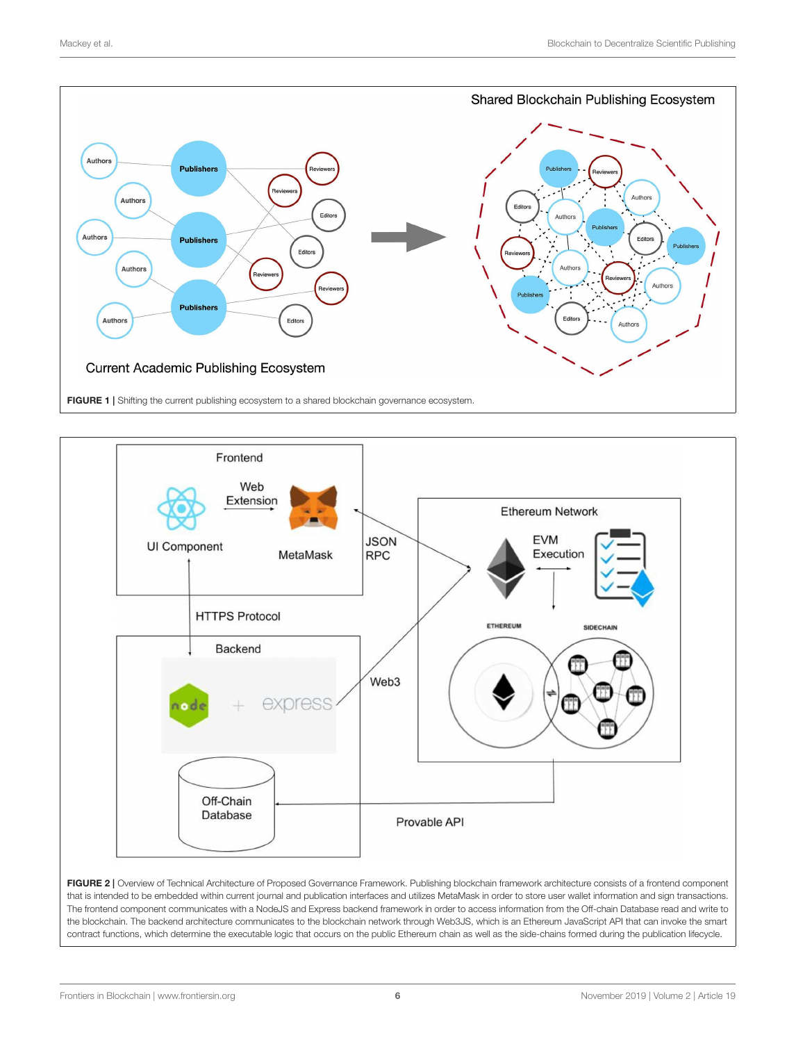

<span id="page-5-0"></span>

<span id="page-5-1"></span>FIGURE 2 | Overview of Technical Architecture of Proposed Governance Framework. Publishing blockchain framework architecture consists of a frontend component that is intended to be embedded within current journal and publication interfaces and utilizes MetaMask in order to store user wallet information and sign transactions. The frontend component communicates with a NodeJS and Express backend framework in order to access information from the Off-chain Database read and write to the blockchain. The backend architecture communicates to the blockchain network through Web3JS, which is an Ethereum JavaScript API that can invoke the smart contract functions, which determine the executable logic that occurs on the public Ethereum chain as well as the side-chains formed during the publication lifecycle.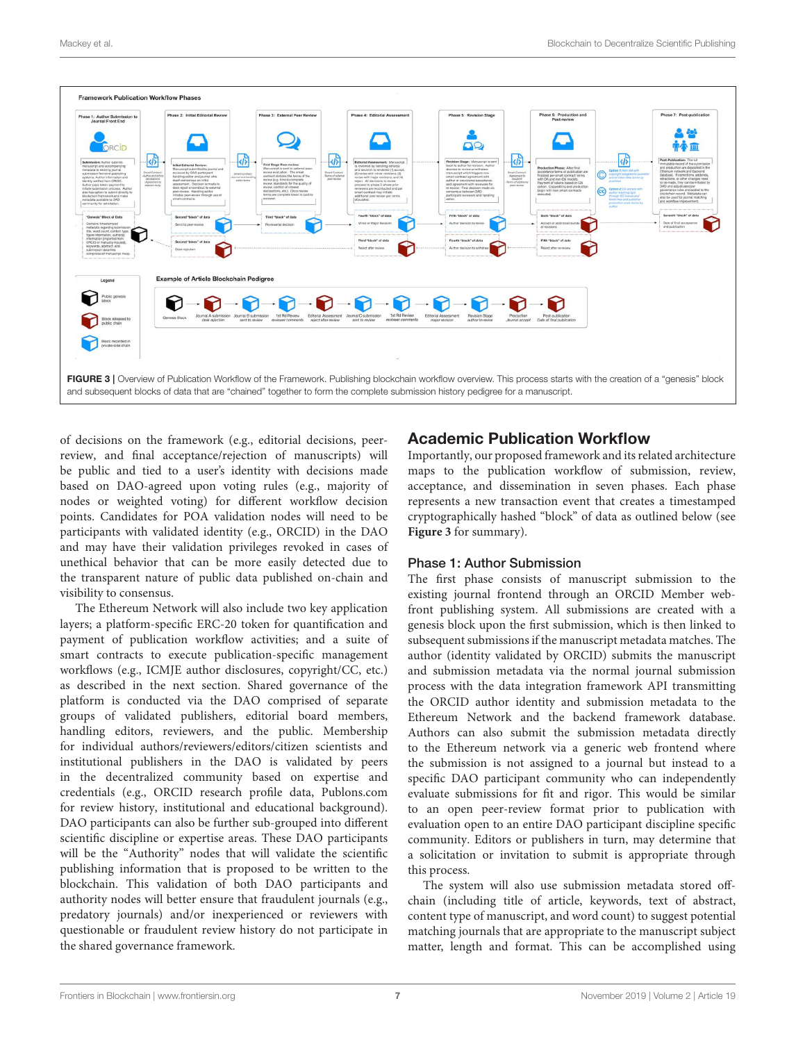

<span id="page-6-0"></span>of decisions on the framework (e.g., editorial decisions, peerreview, and final acceptance/rejection of manuscripts) will be public and tied to a user's identity with decisions made based on DAO-agreed upon voting rules (e.g., majority of nodes or weighted voting) for different workflow decision points. Candidates for POA validation nodes will need to be participants with validated identity (e.g., ORCID) in the DAO and may have their validation privileges revoked in cases of unethical behavior that can be more easily detected due to the transparent nature of public data published on-chain and visibility to consensus.

The Ethereum Network will also include two key application layers; a platform-specific ERC-20 token for quantification and payment of publication workflow activities; and a suite of smart contracts to execute publication-specific management workflows (e.g., ICMJE author disclosures, copyright/CC, etc.) as described in the next section. Shared governance of the platform is conducted via the DAO comprised of separate groups of validated publishers, editorial board members, handling editors, reviewers, and the public. Membership for individual authors/reviewers/editors/citizen scientists and institutional publishers in the DAO is validated by peers in the decentralized community based on expertise and credentials (e.g., ORCID research profile data, [Publons.com](https://Publons.com) for review history, institutional and educational background). DAO participants can also be further sub-grouped into different scientific discipline or expertise areas. These DAO participants will be the "Authority" nodes that will validate the scientific publishing information that is proposed to be written to the blockchain. This validation of both DAO participants and authority nodes will better ensure that fraudulent journals (e.g., predatory journals) and/or inexperienced or reviewers with questionable or fraudulent review history do not participate in the shared governance framework.

## Academic Publication Workflow

Importantly, our proposed framework and its related architecture maps to the publication workflow of submission, review, acceptance, and dissemination in seven phases. Each phase represents a new transaction event that creates a timestamped cryptographically hashed "block" of data as outlined below (see **[Figure 3](#page-6-0)** for summary).

### Phase 1: Author Submission

The first phase consists of manuscript submission to the existing journal frontend through an ORCID Member webfront publishing system. All submissions are created with a genesis block upon the first submission, which is then linked to subsequent submissions if the manuscript metadata matches. The author (identity validated by ORCID) submits the manuscript and submission metadata via the normal journal submission process with the data integration framework API transmitting the ORCID author identity and submission metadata to the Ethereum Network and the backend framework database. Authors can also submit the submission metadata directly to the Ethereum network via a generic web frontend where the submission is not assigned to a journal but instead to a specific DAO participant community who can independently evaluate submissions for fit and rigor. This would be similar to an open peer-review format prior to publication with evaluation open to an entire DAO participant discipline specific community. Editors or publishers in turn, may determine that a solicitation or invitation to submit is appropriate through this process.

The system will also use submission metadata stored offchain (including title of article, keywords, text of abstract, content type of manuscript, and word count) to suggest potential matching journals that are appropriate to the manuscript subject matter, length and format. This can be accomplished using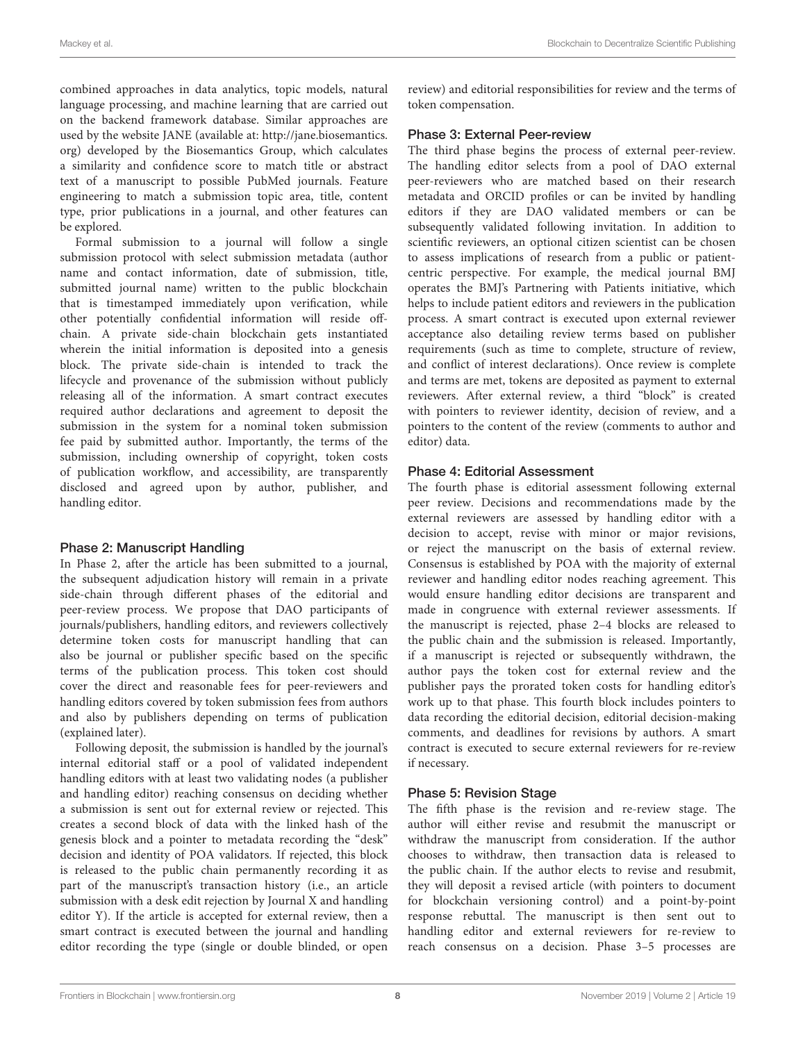combined approaches in data analytics, topic models, natural language processing, and machine learning that are carried out on the backend framework database. Similar approaches are used by the website JANE (available at: [http://jane.biosemantics.](http://jane.biosemantics.org) [org\)](http://jane.biosemantics.org) developed by the Biosemantics Group, which calculates a similarity and confidence score to match title or abstract text of a manuscript to possible PubMed journals. Feature engineering to match a submission topic area, title, content type, prior publications in a journal, and other features can be explored.

Formal submission to a journal will follow a single submission protocol with select submission metadata (author name and contact information, date of submission, title, submitted journal name) written to the public blockchain that is timestamped immediately upon verification, while other potentially confidential information will reside offchain. A private side-chain blockchain gets instantiated wherein the initial information is deposited into a genesis block. The private side-chain is intended to track the lifecycle and provenance of the submission without publicly releasing all of the information. A smart contract executes required author declarations and agreement to deposit the submission in the system for a nominal token submission fee paid by submitted author. Importantly, the terms of the submission, including ownership of copyright, token costs of publication workflow, and accessibility, are transparently disclosed and agreed upon by author, publisher, and handling editor.

#### Phase 2: Manuscript Handling

In Phase 2, after the article has been submitted to a journal, the subsequent adjudication history will remain in a private side-chain through different phases of the editorial and peer-review process. We propose that DAO participants of journals/publishers, handling editors, and reviewers collectively determine token costs for manuscript handling that can also be journal or publisher specific based on the specific terms of the publication process. This token cost should cover the direct and reasonable fees for peer-reviewers and handling editors covered by token submission fees from authors and also by publishers depending on terms of publication (explained later).

Following deposit, the submission is handled by the journal's internal editorial staff or a pool of validated independent handling editors with at least two validating nodes (a publisher and handling editor) reaching consensus on deciding whether a submission is sent out for external review or rejected. This creates a second block of data with the linked hash of the genesis block and a pointer to metadata recording the "desk" decision and identity of POA validators. If rejected, this block is released to the public chain permanently recording it as part of the manuscript's transaction history (i.e., an article submission with a desk edit rejection by Journal X and handling editor Y). If the article is accepted for external review, then a smart contract is executed between the journal and handling editor recording the type (single or double blinded, or open review) and editorial responsibilities for review and the terms of token compensation.

#### Phase 3: External Peer-review

The third phase begins the process of external peer-review. The handling editor selects from a pool of DAO external peer-reviewers who are matched based on their research metadata and ORCID profiles or can be invited by handling editors if they are DAO validated members or can be subsequently validated following invitation. In addition to scientific reviewers, an optional citizen scientist can be chosen to assess implications of research from a public or patientcentric perspective. For example, the medical journal BMJ operates the BMJ's Partnering with Patients initiative, which helps to include patient editors and reviewers in the publication process. A smart contract is executed upon external reviewer acceptance also detailing review terms based on publisher requirements (such as time to complete, structure of review, and conflict of interest declarations). Once review is complete and terms are met, tokens are deposited as payment to external reviewers. After external review, a third "block" is created with pointers to reviewer identity, decision of review, and a pointers to the content of the review (comments to author and editor) data.

### Phase 4: Editorial Assessment

The fourth phase is editorial assessment following external peer review. Decisions and recommendations made by the external reviewers are assessed by handling editor with a decision to accept, revise with minor or major revisions, or reject the manuscript on the basis of external review. Consensus is established by POA with the majority of external reviewer and handling editor nodes reaching agreement. This would ensure handling editor decisions are transparent and made in congruence with external reviewer assessments. If the manuscript is rejected, phase 2–4 blocks are released to the public chain and the submission is released. Importantly, if a manuscript is rejected or subsequently withdrawn, the author pays the token cost for external review and the publisher pays the prorated token costs for handling editor's work up to that phase. This fourth block includes pointers to data recording the editorial decision, editorial decision-making comments, and deadlines for revisions by authors. A smart contract is executed to secure external reviewers for re-review if necessary.

### Phase 5: Revision Stage

The fifth phase is the revision and re-review stage. The author will either revise and resubmit the manuscript or withdraw the manuscript from consideration. If the author chooses to withdraw, then transaction data is released to the public chain. If the author elects to revise and resubmit, they will deposit a revised article (with pointers to document for blockchain versioning control) and a point-by-point response rebuttal. The manuscript is then sent out to handling editor and external reviewers for re-review to reach consensus on a decision. Phase 3–5 processes are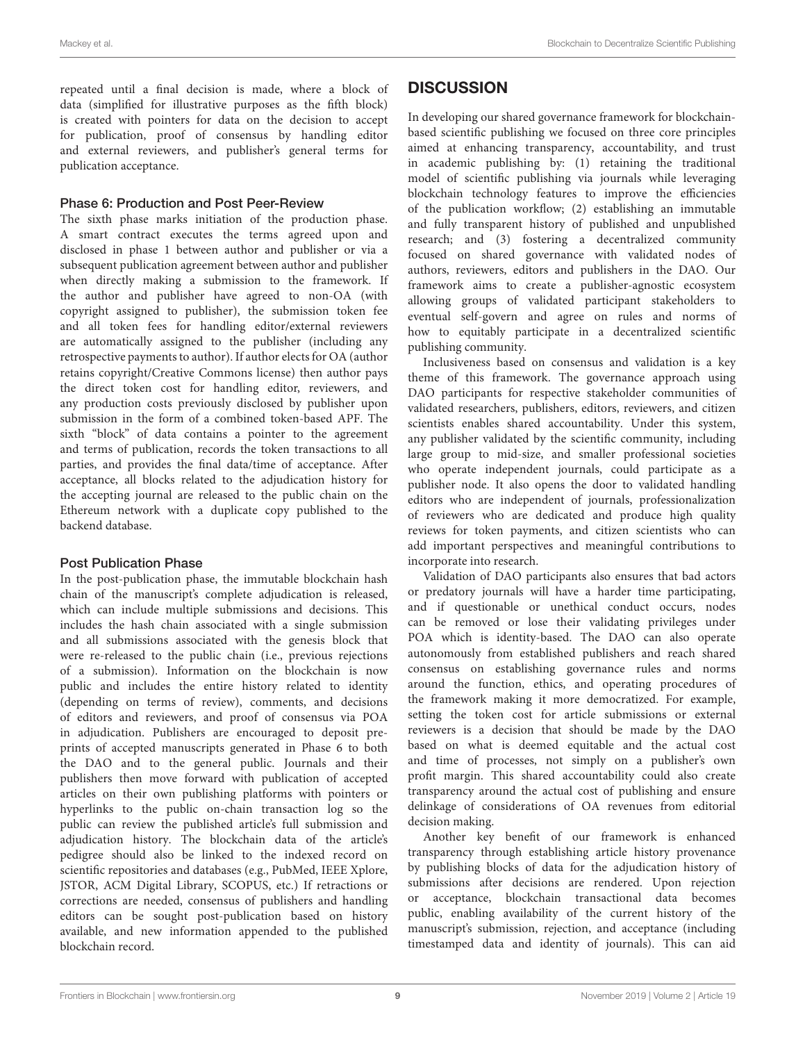repeated until a final decision is made, where a block of data (simplified for illustrative purposes as the fifth block) is created with pointers for data on the decision to accept for publication, proof of consensus by handling editor and external reviewers, and publisher's general terms for publication acceptance.

#### Phase 6: Production and Post Peer-Review

The sixth phase marks initiation of the production phase. A smart contract executes the terms agreed upon and disclosed in phase 1 between author and publisher or via a subsequent publication agreement between author and publisher when directly making a submission to the framework. If the author and publisher have agreed to non-OA (with copyright assigned to publisher), the submission token fee and all token fees for handling editor/external reviewers are automatically assigned to the publisher (including any retrospective payments to author). If author elects for OA (author retains copyright/Creative Commons license) then author pays the direct token cost for handling editor, reviewers, and any production costs previously disclosed by publisher upon submission in the form of a combined token-based APF. The sixth "block" of data contains a pointer to the agreement and terms of publication, records the token transactions to all parties, and provides the final data/time of acceptance. After acceptance, all blocks related to the adjudication history for the accepting journal are released to the public chain on the Ethereum network with a duplicate copy published to the backend database.

### Post Publication Phase

In the post-publication phase, the immutable blockchain hash chain of the manuscript's complete adjudication is released, which can include multiple submissions and decisions. This includes the hash chain associated with a single submission and all submissions associated with the genesis block that were re-released to the public chain (i.e., previous rejections of a submission). Information on the blockchain is now public and includes the entire history related to identity (depending on terms of review), comments, and decisions of editors and reviewers, and proof of consensus via POA in adjudication. Publishers are encouraged to deposit preprints of accepted manuscripts generated in Phase 6 to both the DAO and to the general public. Journals and their publishers then move forward with publication of accepted articles on their own publishing platforms with pointers or hyperlinks to the public on-chain transaction log so the public can review the published article's full submission and adjudication history. The blockchain data of the article's pedigree should also be linked to the indexed record on scientific repositories and databases (e.g., PubMed, IEEE Xplore, JSTOR, ACM Digital Library, SCOPUS, etc.) If retractions or corrections are needed, consensus of publishers and handling editors can be sought post-publication based on history available, and new information appended to the published blockchain record.

# **DISCUSSION**

In developing our shared governance framework for blockchainbased scientific publishing we focused on three core principles aimed at enhancing transparency, accountability, and trust in academic publishing by: (1) retaining the traditional model of scientific publishing via journals while leveraging blockchain technology features to improve the efficiencies of the publication workflow; (2) establishing an immutable and fully transparent history of published and unpublished research; and (3) fostering a decentralized community focused on shared governance with validated nodes of authors, reviewers, editors and publishers in the DAO. Our framework aims to create a publisher-agnostic ecosystem allowing groups of validated participant stakeholders to eventual self-govern and agree on rules and norms of how to equitably participate in a decentralized scientific publishing community.

Inclusiveness based on consensus and validation is a key theme of this framework. The governance approach using DAO participants for respective stakeholder communities of validated researchers, publishers, editors, reviewers, and citizen scientists enables shared accountability. Under this system, any publisher validated by the scientific community, including large group to mid-size, and smaller professional societies who operate independent journals, could participate as a publisher node. It also opens the door to validated handling editors who are independent of journals, professionalization of reviewers who are dedicated and produce high quality reviews for token payments, and citizen scientists who can add important perspectives and meaningful contributions to incorporate into research.

Validation of DAO participants also ensures that bad actors or predatory journals will have a harder time participating, and if questionable or unethical conduct occurs, nodes can be removed or lose their validating privileges under POA which is identity-based. The DAO can also operate autonomously from established publishers and reach shared consensus on establishing governance rules and norms around the function, ethics, and operating procedures of the framework making it more democratized. For example, setting the token cost for article submissions or external reviewers is a decision that should be made by the DAO based on what is deemed equitable and the actual cost and time of processes, not simply on a publisher's own profit margin. This shared accountability could also create transparency around the actual cost of publishing and ensure delinkage of considerations of OA revenues from editorial decision making.

Another key benefit of our framework is enhanced transparency through establishing article history provenance by publishing blocks of data for the adjudication history of submissions after decisions are rendered. Upon rejection or acceptance, blockchain transactional data becomes public, enabling availability of the current history of the manuscript's submission, rejection, and acceptance (including timestamped data and identity of journals). This can aid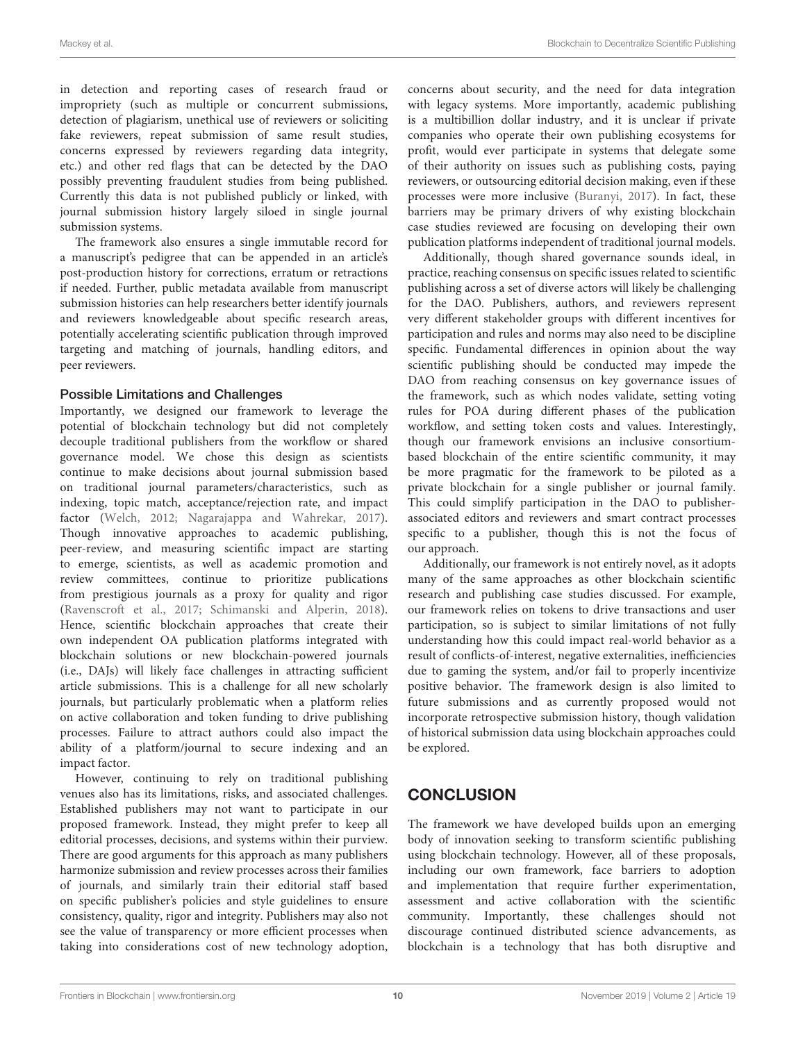in detection and reporting cases of research fraud or impropriety (such as multiple or concurrent submissions, detection of plagiarism, unethical use of reviewers or soliciting fake reviewers, repeat submission of same result studies, concerns expressed by reviewers regarding data integrity, etc.) and other red flags that can be detected by the DAO possibly preventing fraudulent studies from being published. Currently this data is not published publicly or linked, with journal submission history largely siloed in single journal submission systems.

The framework also ensures a single immutable record for a manuscript's pedigree that can be appended in an article's post-production history for corrections, erratum or retractions if needed. Further, public metadata available from manuscript submission histories can help researchers better identify journals and reviewers knowledgeable about specific research areas, potentially accelerating scientific publication through improved targeting and matching of journals, handling editors, and peer reviewers.

#### Possible Limitations and Challenges

Importantly, we designed our framework to leverage the potential of blockchain technology but did not completely decouple traditional publishers from the workflow or shared governance model. We chose this design as scientists continue to make decisions about journal submission based on traditional journal parameters/characteristics, such as indexing, topic match, acceptance/rejection rate, and impact factor [\(Welch, 2012;](#page-11-5) [Nagarajappa and Wahrekar, 2017\)](#page-10-34). Though innovative approaches to academic publishing, peer-review, and measuring scientific impact are starting to emerge, scientists, as well as academic promotion and review committees, continue to prioritize publications from prestigious journals as a proxy for quality and rigor [\(Ravenscroft et al., 2017;](#page-10-35) [Schimanski and Alperin, 2018\)](#page-10-36). Hence, scientific blockchain approaches that create their own independent OA publication platforms integrated with blockchain solutions or new blockchain-powered journals (i.e., DAJs) will likely face challenges in attracting sufficient article submissions. This is a challenge for all new scholarly journals, but particularly problematic when a platform relies on active collaboration and token funding to drive publishing processes. Failure to attract authors could also impact the ability of a platform/journal to secure indexing and an impact factor.

However, continuing to rely on traditional publishing venues also has its limitations, risks, and associated challenges. Established publishers may not want to participate in our proposed framework. Instead, they might prefer to keep all editorial processes, decisions, and systems within their purview. There are good arguments for this approach as many publishers harmonize submission and review processes across their families of journals, and similarly train their editorial staff based on specific publisher's policies and style guidelines to ensure consistency, quality, rigor and integrity. Publishers may also not see the value of transparency or more efficient processes when taking into considerations cost of new technology adoption, concerns about security, and the need for data integration with legacy systems. More importantly, academic publishing is a multibillion dollar industry, and it is unclear if private companies who operate their own publishing ecosystems for profit, would ever participate in systems that delegate some of their authority on issues such as publishing costs, paying reviewers, or outsourcing editorial decision making, even if these processes were more inclusive [\(Buranyi, 2017\)](#page-10-37). In fact, these barriers may be primary drivers of why existing blockchain case studies reviewed are focusing on developing their own publication platforms independent of traditional journal models.

Additionally, though shared governance sounds ideal, in practice, reaching consensus on specific issues related to scientific publishing across a set of diverse actors will likely be challenging for the DAO. Publishers, authors, and reviewers represent very different stakeholder groups with different incentives for participation and rules and norms may also need to be discipline specific. Fundamental differences in opinion about the way scientific publishing should be conducted may impede the DAO from reaching consensus on key governance issues of the framework, such as which nodes validate, setting voting rules for POA during different phases of the publication workflow, and setting token costs and values. Interestingly, though our framework envisions an inclusive consortiumbased blockchain of the entire scientific community, it may be more pragmatic for the framework to be piloted as a private blockchain for a single publisher or journal family. This could simplify participation in the DAO to publisherassociated editors and reviewers and smart contract processes specific to a publisher, though this is not the focus of our approach.

Additionally, our framework is not entirely novel, as it adopts many of the same approaches as other blockchain scientific research and publishing case studies discussed. For example, our framework relies on tokens to drive transactions and user participation, so is subject to similar limitations of not fully understanding how this could impact real-world behavior as a result of conflicts-of-interest, negative externalities, inefficiencies due to gaming the system, and/or fail to properly incentivize positive behavior. The framework design is also limited to future submissions and as currently proposed would not incorporate retrospective submission history, though validation of historical submission data using blockchain approaches could be explored.

## **CONCLUSION**

The framework we have developed builds upon an emerging body of innovation seeking to transform scientific publishing using blockchain technology. However, all of these proposals, including our own framework, face barriers to adoption and implementation that require further experimentation, assessment and active collaboration with the scientific community. Importantly, these challenges should not discourage continued distributed science advancements, as blockchain is a technology that has both disruptive and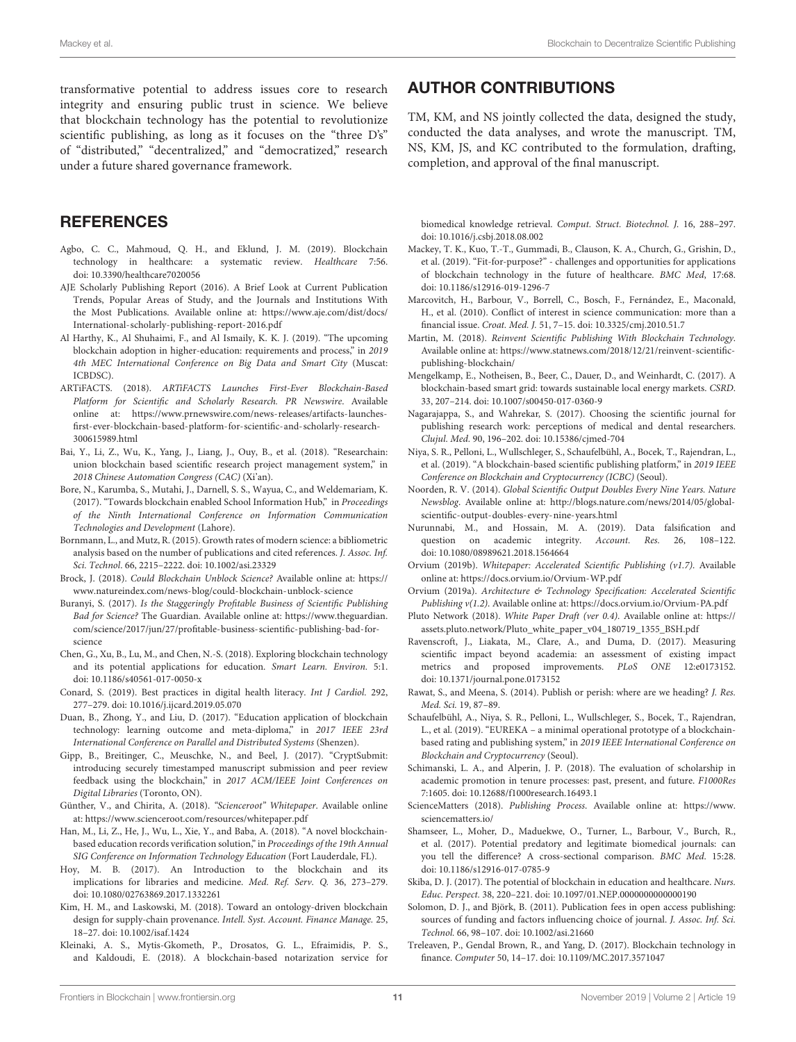transformative potential to address issues core to research integrity and ensuring public trust in science. We believe that blockchain technology has the potential to revolutionize scientific publishing, as long as it focuses on the "three D's" of "distributed," "decentralized," and "democratized," research under a future shared governance framework.

## **REFERENCES**

- <span id="page-10-27"></span>Agbo, C. C., Mahmoud, Q. H., and Eklund, J. M. (2019). Blockchain technology in healthcare: a systematic review. Healthcare 7:56. doi: [10.3390/healthcare7020056](https://doi.org/10.3390/healthcare7020056)
- <span id="page-10-2"></span>AJE Scholarly Publishing Report (2016). A Brief Look at Current Publication Trends, Popular Areas of Study, and the Journals and Institutions With the Most Publications. Available online at: [https://www.aje.com/dist/docs/](https://www.aje.com/dist/docs/International-scholarly-publishing-report-2016.pdf) [International-scholarly-publishing-report-2016.pdf](https://www.aje.com/dist/docs/International-scholarly-publishing-report-2016.pdf)
- <span id="page-10-28"></span>Al Harthy, K., Al Shuhaimi, F., and Al Ismaily, K. K. J. (2019). "The upcoming blockchain adoption in higher-education: requirements and process," in 2019 4th MEC International Conference on Big Data and Smart City (Muscat: ICBDSC).
- <span id="page-10-13"></span>ARTiFACTS. (2018). ARTiFACTS Launches First-Ever Blockchain-Based Platform for Scientific and Scholarly Research. PR Newswire. Available online at: [https://www.prnewswire.com/news-releases/artifacts-launches](https://www.prnewswire.com/news-releases/artifacts-launches-first-ever-blockchain-based-platform-for-scientific-and-scholarly-research-300615989.html)[first-ever-blockchain-based-platform-for-scientific-and-scholarly-research-](https://www.prnewswire.com/news-releases/artifacts-launches-first-ever-blockchain-based-platform-for-scientific-and-scholarly-research-300615989.html)[300615989.html](https://www.prnewswire.com/news-releases/artifacts-launches-first-ever-blockchain-based-platform-for-scientific-and-scholarly-research-300615989.html)
- <span id="page-10-24"></span>Bai, Y., Li, Z., Wu, K., Yang, J., Liang, J., Ouy, B., et al. (2018). "Researchain: union blockchain based scientific research project management system," in 2018 Chinese Automation Congress (CAC) (Xi'an).
- <span id="page-10-20"></span>Bore, N., Karumba, S., Mutahi, J., Darnell, S. S., Wayua, C., and Weldemariam, K. (2017). "Towards blockchain enabled School Information Hub," in Proceedings of the Ninth International Conference on Information Communication Technologies and Development (Lahore).
- <span id="page-10-1"></span>Bornmann, L., and Mutz, R. (2015). Growth rates of modern science: a bibliometric analysis based on the number of publications and cited references. J. Assoc. Inf. Sci. Technol. 66, 2215–2222. doi: [10.1002/asi.23329](https://doi.org/10.1002/asi.23329)
- <span id="page-10-33"></span>Brock, J. (2018). Could Blockchain Unblock Science? Available online at: [https://](https://www.natureindex.com/news-blog/could-blockchain-unblock-science) [www.natureindex.com/news-blog/could-blockchain-unblock-science](https://www.natureindex.com/news-blog/could-blockchain-unblock-science)
- <span id="page-10-37"></span>Buranyi, S. (2017). Is the Staggeringly Profitable Business of Scientific Publishing Bad for Science? The Guardian. Available online at: [https://www.theguardian.](https://www.theguardian.com/science/2017/jun/27/profitable-business-scientific-publishing-bad-for-science) [com/science/2017/jun/27/profitable-business-scientific-publishing-bad-for](https://www.theguardian.com/science/2017/jun/27/profitable-business-scientific-publishing-bad-for-science)[science](https://www.theguardian.com/science/2017/jun/27/profitable-business-scientific-publishing-bad-for-science)
- <span id="page-10-10"></span>Chen, G., Xu, B., Lu, M., and Chen, N.-S. (2018). Exploring blockchain technology and its potential applications for education. Smart Learn. Environ. 5:1. doi: [10.1186/s40561-017-0050-x](https://doi.org/10.1186/s40561-017-0050-x)
- <span id="page-10-29"></span>Conard, S. (2019). Best practices in digital health literacy. Int J Cardiol. 292, 277–279. doi: [10.1016/j.ijcard.2019.05.070](https://doi.org/10.1016/j.ijcard.2019.05.070)
- <span id="page-10-21"></span>Duan, B., Zhong, Y., and Liu, D. (2017). "Education application of blockchain technology: learning outcome and meta-diploma," in 2017 IEEE 23rd International Conference on Parallel and Distributed Systems (Shenzen).
- <span id="page-10-30"></span>Gipp, B., Breitinger, C., Meuschke, N., and Beel, J. (2017). "CryptSubmit: introducing securely timestamped manuscript submission and peer review feedback using the blockchain," in 2017 ACM/IEEE Joint Conferences on Digital Libraries (Toronto, ON).
- <span id="page-10-14"></span>Günther, V., and Chirita, A. (2018). "Scienceroot" Whitepaper. Available online at:<https://www.scienceroot.com/resources/whitepaper.pdf>
- <span id="page-10-25"></span>Han, M., Li, Z., He, J., Wu, L., Xie, Y., and Baba, A. (2018). "A novel blockchainbased education records verification solution," in Proceedings of the 19th Annual SIG Conference on Information Technology Education (Fort Lauderdale, FL).
- <span id="page-10-22"></span>Hoy, M. B. (2017). An Introduction to the blockchain and its implications for libraries and medicine. Med. Ref. Serv. Q. 36, 273–279. doi: [10.1080/02763869.2017.1332261](https://doi.org/10.1080/02763869.2017.1332261)
- <span id="page-10-11"></span>Kim, H. M., and Laskowski, M. (2018). Toward an ontology-driven blockchain design for supply-chain provenance. Intell. Syst. Account. Finance Manage. 25, 18–27. doi: [10.1002/isaf.1424](https://doi.org/10.1002/isaf.1424)
- <span id="page-10-26"></span>Kleinaki, A. S., Mytis-Gkometh, P., Drosatos, G. L., Efraimidis, P. S., and Kaldoudi, E. (2018). A blockchain-based notarization service for

## AUTHOR CONTRIBUTIONS

TM, KM, and NS jointly collected the data, designed the study, conducted the data analyses, and wrote the manuscript. TM, NS, KM, JS, and KC contributed to the formulation, drafting, completion, and approval of the final manuscript.

biomedical knowledge retrieval. Comput. Struct. Biotechnol. J. 16, 288–297. doi: [10.1016/j.csbj.2018.08.002](https://doi.org/10.1016/j.csbj.2018.08.002)

- <span id="page-10-12"></span>Mackey, T. K., Kuo, T.-T., Gummadi, B., Clauson, K. A., Church, G., Grishin, D., et al. (2019). "Fit-for-purpose?" - challenges and opportunities for applications of blockchain technology in the future of healthcare. BMC Med, 17:68. doi: [10.1186/s12916-019-1296-7](https://doi.org/10.1186/s12916-019-1296-7)
- <span id="page-10-7"></span>Marcovitch, H., Barbour, V., Borrell, C., Bosch, F., Fernández, E., Maconald, H., et al. (2010). Conflict of interest in science communication: more than a financial issue. Croat. Med. J. 51, 7–15. doi: [10.3325/cmj.2010.51.7](https://doi.org/10.3325/cmj.2010.51.7)
- <span id="page-10-15"></span>Martin, M. (2018). Reinvent Scientific Publishing With Blockchain Technology. Available online at: [https://www.statnews.com/2018/12/21/reinvent-scientific](https://www.statnews.com/2018/12/21/reinvent-scientific-publishing-blockchain/)[publishing-blockchain/](https://www.statnews.com/2018/12/21/reinvent-scientific-publishing-blockchain/)
- <span id="page-10-8"></span>Mengelkamp, E., Notheisen, B., Beer, C., Dauer, D., and Weinhardt, C. (2017). A blockchain-based smart grid: towards sustainable local energy markets. CSRD. 33, 207–214. doi: [10.1007/s00450-017-0360-9](https://doi.org/10.1007/s00450-017-0360-9)
- <span id="page-10-34"></span>Nagarajappa, S., and Wahrekar, S. (2017). Choosing the scientific journal for publishing research work: perceptions of medical and dental researchers. Clujul. Med. 90, 196–202. doi: [10.15386/cjmed-704](https://doi.org/10.15386/cjmed-704)
- <span id="page-10-31"></span>Niya, S. R., Pelloni, L., Wullschleger, S., Schaufelbühl, A., Bocek, T., Rajendran, L., et al. (2019). "A blockchain-based scientific publishing platform," in 2019 IEEE Conference on Blockchain and Cryptocurrency (ICBC) (Seoul).
- <span id="page-10-0"></span>Noorden, R. V. (2014). Global Scientific Output Doubles Every Nine Years. Nature Newsblog. Available online at: [http://blogs.nature.com/news/2014/05/global](http://blogs.nature.com/news/2014/05/global-scientific-output-doubles-every-nine-years.html)[scientific-output-doubles-every-nine-years.html](http://blogs.nature.com/news/2014/05/global-scientific-output-doubles-every-nine-years.html)
- <span id="page-10-6"></span>Nurunnabi, M., and Hossain, M. A. (2019). Data falsification and question on academic integrity. Account. Res. 26, 108–122. doi: [10.1080/08989621.2018.1564664](https://doi.org/10.1080/08989621.2018.1564664)
- <span id="page-10-17"></span>Orvium (2019b). Whitepaper: Accelerated Scientific Publishing (v1.7). Available online at:<https://docs.orvium.io/Orvium-WP.pdf>
- <span id="page-10-18"></span>Orvium (2019a). Architecture & Technology Specification: Accelerated Scientific Publishing v(1.2). Available online at:<https://docs.orvium.io/Orvium-PA.pdf>
- <span id="page-10-16"></span>Pluto Network (2018). White Paper Draft (ver 0.4). Available online at: [https://](https://assets.pluto.network/Pluto_white_paper_v04_180719_1355_BSH.pdf) [assets.pluto.network/Pluto\\_white\\_paper\\_v04\\_180719\\_1355\\_BSH.pdf](https://assets.pluto.network/Pluto_white_paper_v04_180719_1355_BSH.pdf)
- <span id="page-10-35"></span>Ravenscroft, J., Liakata, M., Clare, A., and Duma, D. (2017). Measuring scientific impact beyond academia: an assessment of existing impact metrics and proposed improvements. PLoS ONE 12:e0173152. doi: [10.1371/journal.pone.0173152](https://doi.org/10.1371/journal.pone.0173152)
- <span id="page-10-3"></span>Rawat, S., and Meena, S. (2014). Publish or perish: where are we heading? J. Res. Med. Sci. 19, 87–89.
- <span id="page-10-32"></span>Schaufelbühl, A., Niya, S. R., Pelloni, L., Wullschleger, S., Bocek, T., Rajendran, L., et al. (2019). "EUREKA – a minimal operational prototype of a blockchainbased rating and publishing system," in 2019 IEEE International Conference on Blockchain and Cryptocurrency (Seoul).
- <span id="page-10-36"></span>Schimanski, L. A., and Alperin, J. P. (2018). The evaluation of scholarship in academic promotion in tenure processes: past, present, and future. F1000Res 7:1605. doi: [10.12688/f1000research.16493.1](https://doi.org/10.12688/f1000research.16493.1)
- <span id="page-10-19"></span>ScienceMatters (2018). Publishing Process. Available online at: [https://www.](https://www.sciencematters.io/) [sciencematters.io/](https://www.sciencematters.io/)
- <span id="page-10-4"></span>Shamseer, L., Moher, D., Maduekwe, O., Turner, L., Barbour, V., Burch, R., et al. (2017). Potential predatory and legitimate biomedical journals: can you tell the difference? A cross-sectional comparison. BMC Med. 15:28. doi: [10.1186/s12916-017-0785-9](https://doi.org/10.1186/s12916-017-0785-9)
- <span id="page-10-23"></span>Skiba, D. J. (2017). The potential of blockchain in education and healthcare. Nurs. Educ. Perspect. 38, 220–221. doi: [10.1097/01.NEP.0000000000000190](https://doi.org/10.1097/01.NEP.0000000000000190)
- <span id="page-10-5"></span>Solomon, D. J., and Björk, B. (2011). Publication fees in open access publishing: sources of funding and factors influencing choice of journal. J. Assoc. Inf. Sci. Technol. 66, 98–107. doi: [10.1002/asi.21660](https://doi.org/10.1002/asi.21660)
- <span id="page-10-9"></span>Treleaven, P., Gendal Brown, R., and Yang, D. (2017). Blockchain technology in finance. Computer 50, 14–17. doi: [10.1109/MC.2017.3571047](https://doi.org/10.1109/MC.2017.3571047)